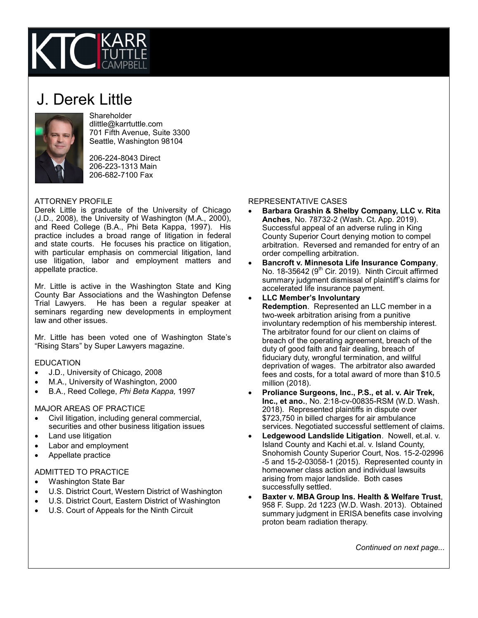

# J. Derek Little



**Shareholder** dlittle@karrtuttle.com 701 Fifth Avenue, Suite 3300 Seattle, Washington 98104

206-224-8043 Direct 206-223-1313 Main 206-682-7100 Fax

# ATTORNEY PROFILE

Derek Little is graduate of the University of Chicago (J.D., 2008), the University of Washington (M.A., 2000), and Reed College (B.A., Phi Beta Kappa, 1997). His practice includes a broad range of litigation in federal and state courts. He focuses his practice on litigation, with particular emphasis on commercial litigation, land use litigation, labor and employment matters and appellate practice.

Mr. Little is active in the Washington State and King County Bar Associations and the Washington Defense Trial Lawyers. He has been a regular speaker at seminars regarding new developments in employment law and other issues.

Mr. Little has been voted one of Washington State's "Rising Stars" by Super Lawyers magazine.

# EDUCATION

- J.D., University of Chicago, 2008
- M.A., University of Washington, 2000
- B.A., Reed College, *Phi Beta Kappa,* 1997

# MAJOR AREAS OF PRACTICE

- Civil litigation, including general commercial, securities and other business litigation issues
- Land use litigation
- Labor and employment
- Appellate practice

# ADMITTED TO PRACTICE

- Washington State Bar
- U.S. District Court, Western District of Washington
- U.S. District Court, Eastern District of Washington
- U.S. Court of Appeals for the Ninth Circuit

### REPRESENTATIVE CASES

- **Barbara Grashin & Shelby Company, LLC v. Rita Anches**, No. 78732-2 (Wash. Ct. App. 2019). Successful appeal of an adverse ruling in King County Superior Court denying motion to compel arbitration. Reversed and remanded for entry of an order compelling arbitration.
- **Bancroft v. Minnesota Life Insurance Company**, No. 18-35642 (9<sup>th</sup> Cir. 2019). Ninth Circuit affirmed summary judgment dismissal of plaintiff's claims for accelerated life insurance payment.
- **LLC Member's Involuntary Redemption**. Represented an LLC member in a two-week arbitration arising from a punitive involuntary redemption of his membership interest. The arbitrator found for our client on claims of breach of the operating agreement, breach of the duty of good faith and fair dealing, breach of fiduciary duty, wrongful termination, and willful deprivation of wages. The arbitrator also awarded fees and costs, for a total award of more than \$10.5 million (2018).
- **Proliance Surgeons, Inc., P.S., et al. v. Air Trek, Inc., et ano.**, No. 2:18-cv-00835-RSM (W.D. Wash. 2018). Represented plaintiffs in dispute over \$723,750 in billed charges for air ambulance services. Negotiated successful settlement of claims.
- **Ledgewood Landslide Litigation**. Nowell, et.al. v. Island County and Kachi et.al. v. Island County, Snohomish County Superior Court, Nos. 15-2-02996 -5 and 15-2-03058-1 (2015). Represented county in homeowner class action and individual lawsuits arising from major landslide. Both cases successfully settled.
- **Baxter v. MBA Group Ins. Health & Welfare Trust**, 958 F. Supp. 2d 1223 (W.D. Wash. 2013). Obtained summary judgment in ERISA benefits case involving proton beam radiation therapy.

*Continued on next page...*